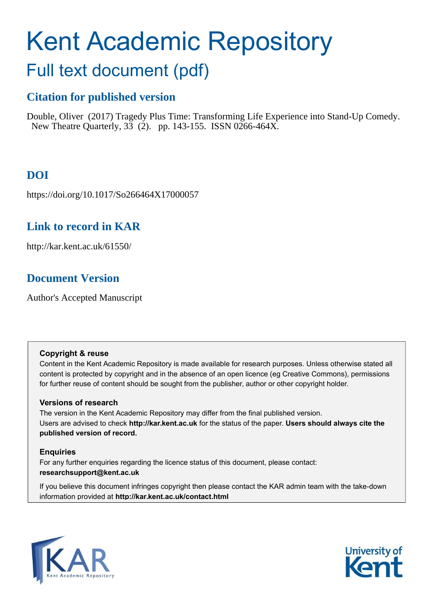# Kent Academic Repository

# Full text document (pdf)

## **Citation for published version**

Double, Oliver (2017) Tragedy Plus Time: Transforming Life Experience into Stand-Up Comedy. New Theatre Quarterly, 33 (2). pp. 143-155. ISSN 0266-464X.

## **DOI**

https://doi.org/10.1017/So266464X17000057

### **Link to record in KAR**

http://kar.kent.ac.uk/61550/

## **Document Version**

Author's Accepted Manuscript

#### **Copyright & reuse**

Content in the Kent Academic Repository is made available for research purposes. Unless otherwise stated all content is protected by copyright and in the absence of an open licence (eg Creative Commons), permissions for further reuse of content should be sought from the publisher, author or other copyright holder.

#### **Versions of research**

The version in the Kent Academic Repository may differ from the final published version. Users are advised to check **http://kar.kent.ac.uk** for the status of the paper. **Users should always cite the published version of record.**

#### **Enquiries**

For any further enquiries regarding the licence status of this document, please contact: **researchsupport@kent.ac.uk**

If you believe this document infringes copyright then please contact the KAR admin team with the take-down information provided at **http://kar.kent.ac.uk/contact.html**



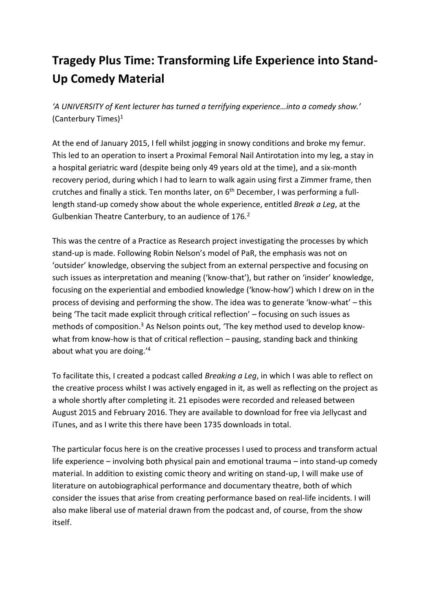## **Tragedy Plus Time: Transforming Life Experience into Stand-Up Comedy Material**

'A UNIVERSITY of Kent lecturer has turned a terrifying experience...into a comedy show.' (Canterbury Times)<sup>1</sup>

At the end of January 2015, I fell whilst jogging in snowy conditions and broke my femur. This led to an operation to insert a Proximal Femoral Nail Antirotation into my leg, a stay in a hospital geriatric ward (despite being only 49 years old at the time), and a six-month recovery period, during which I had to learn to walk again using first a Zimmer frame, then crutches and finally a stick. Ten months later, on  $6<sup>th</sup>$  December, I was performing a fulllength stand-up comedy show about the whole experience, entitled *Break a Leg*, at the Gulbenkian Theatre Canterbury, to an audience of 176.<sup>2</sup>

This was the centre of a Practice as Research project investigating the processes by which stand-up is made. Following Robin Nelson's model of PaR, the emphasis was not on 'outsider' knowledge, observing the subject from an external perspective and focusing on such issues as interpretation and meaning ('know-that'), but rather on 'insider' knowledge, focusing on the experiential and embodied knowledge ('know-how') which I drew on in the process of devising and performing the show. The idea was to generate 'know-what' – this being 'The tacit made explicit through critical reflection' – focusing on such issues as methods of composition.<sup>3</sup> As Nelson points out, 'The key method used to develop knowwhat from know-how is that of critical reflection  $-$  pausing, standing back and thinking about what you are doing.'<sup>4</sup>

To facilitate this, I created a podcast called *Breaking a Leg*, in which I was able to reflect on the creative process whilst I was actively engaged in it, as well as reflecting on the project as a whole shortly after completing it. 21 episodes were recorded and released between August 2015 and February 2016. They are available to download for free via Jellycast and iTunes, and as I write this there have been 1735 downloads in total.

The particular focus here is on the creative processes I used to process and transform actual life experience  $-$  involving both physical pain and emotional trauma  $-$  into stand-up comedy material. In addition to existing comic theory and writing on stand-up, I will make use of literature on autobiographical performance and documentary theatre, both of which consider the issues that arise from creating performance based on real-life incidents. I will also make liberal use of material drawn from the podcast and, of course, from the show itself.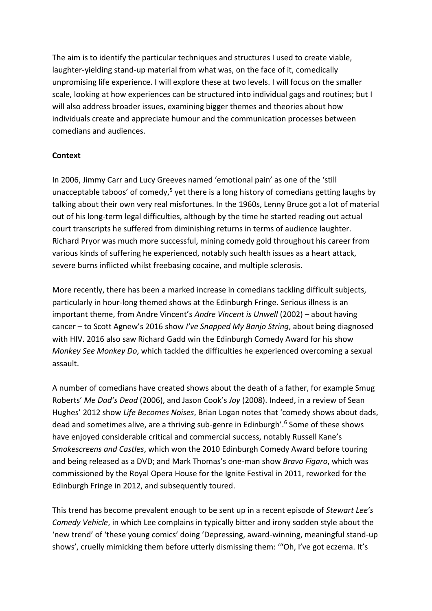The aim is to identify the particular techniques and structures I used to create viable, laughter-yielding stand-up material from what was, on the face of it, comedically unpromising life experience. I will explore these at two levels. I will focus on the smaller scale, looking at how experiences can be structured into individual gags and routines; but I will also address broader issues, examining bigger themes and theories about how individuals create and appreciate humour and the communication processes between comedians and audiences.

#### **Context**

In 2006, Jimmy Carr and Lucy Greeves named 'emotional pain' as one of the 'still unacceptable taboos' of comedy,<sup>5</sup> yet there is a long history of comedians getting laughs by talking about their own very real misfortunes. In the 1960s, Lenny Bruce got a lot of material out of his long-term legal difficulties, although by the time he started reading out actual court transcripts he suffered from diminishing returns in terms of audience laughter. Richard Pryor was much more successful, mining comedy gold throughout his career from various kinds of suffering he experienced, notably such health issues as a heart attack, severe burns inflicted whilst freebasing cocaine, and multiple sclerosis.

More recently, there has been a marked increase in comedians tackling difficult subjects, particularly in hour-long themed shows at the Edinburgh Fringe. Serious illness is an important theme, from Andre Vincent's Andre Vincent is Unwell (2002) - about having cancer - to Scott Agnew's 2016 show I've Snapped My Banjo String, about being diagnosed with HIV. 2016 also saw Richard Gadd win the Edinburgh Comedy Award for his show *Monkey See Monkey Do*, which tackled the difficulties he experienced overcoming a sexual assault.

A number of comedians have created shows about the death of a father, for example Smug Roberts' Me Dad's Dead (2006), and Jason Cook's Joy (2008). Indeed, in a review of Sean Hughes' 2012 show Life Becomes Noises, Brian Logan notes that 'comedy shows about dads, dead and sometimes alive, are a thriving sub-genre in Edinburgh'.<sup>6</sup> Some of these shows have enjoyed considerable critical and commercial success, notably Russell Kane's *Smokescreens and Castles*, which won the 2010 Edinburgh Comedy Award before touring and being released as a DVD; and Mark Thomas's one-man show *Bravo Figaro*, which was commissioned by the Royal Opera House for the Ignite Festival in 2011, reworked for the Edinburgh Fringe in 2012, and subsequently toured.

This trend has become prevalent enough to be sent up in a recent episode of *Stewart Lee's Comedy Vehicle*, in which Lee complains in typically bitter and irony sodden style about the 'new trend' of 'these young comics' doing 'Depressing, award-winning, meaningful stand-up shows', cruelly mimicking them before utterly dismissing them: "Oh, I've got eczema. It's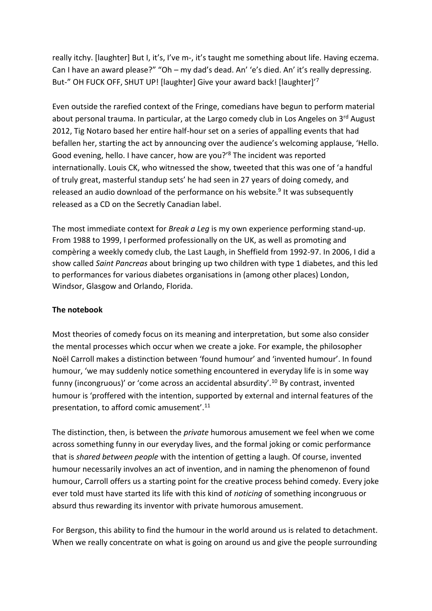really itchy. [laughter] But I, it's, I've m-, it's taught me something about life. Having eczema. Can I have an award please?" "Oh - my dad's dead. An' 'e's died. An' it's really depressing. But-" OH FUCK OFF, SHUT UP! [laughter] Give your award back! [laughter]'7

Even outside the rarefied context of the Fringe, comedians have begun to perform material about personal trauma. In particular, at the Largo comedy club in Los Angeles on 3<sup>rd</sup> August 2012, Tig Notaro based her entire half-hour set on a series of appalling events that had befallen her, starting the act by announcing over the audience's welcoming applause, 'Hello. Good evening, hello. I have cancer, how are you?'<sup>8</sup> The incident was reported internationally. Louis CK, who witnessed the show, tweeted that this was one of 'a handful of truly great, masterful standup sets' he had seen in 27 years of doing comedy, and released an audio download of the performance on his website.<sup>9</sup> It was subsequently released as a CD on the Secretly Canadian label.

The most immediate context for *Break a Leg* is my own experience performing stand-up. From 1988 to 1999, I performed professionally on the UK, as well as promoting and compËring a weekly comedy club, the Last Laugh, in Sheffield from 1992-97. In 2006, I did a show called *Saint Pancreas* about bringing up two children with type 1 diabetes, and this led to performances for various diabetes organisations in (among other places) London, Windsor, Glasgow and Orlando, Florida.

#### **The notebook**

Most theories of comedy focus on its meaning and interpretation, but some also consider the mental processes which occur when we create a joke. For example, the philosopher Noël Carroll makes a distinction between 'found humour' and 'invented humour'. In found humour, 'we may suddenly notice something encountered in everyday life is in some way funny (incongruous)' or 'come across an accidental absurdity'.<sup>10</sup> By contrast, invented humour is 'proffered with the intention, supported by external and internal features of the presentation, to afford comic amusement'.<sup>11</sup>

The distinction, then, is between the *private* humorous amusement we feel when we come across something funny in our everyday lives, and the formal joking or comic performance that is *shared between people* with the intention of getting a laugh. Of course, invented humour necessarily involves an act of invention, and in naming the phenomenon of found humour, Carroll offers us a starting point for the creative process behind comedy. Every joke ever told must have started its life with this kind of *noticing* of something incongruous or absurd thus rewarding its inventor with private humorous amusement.

For Bergson, this ability to find the humour in the world around us is related to detachment. When we really concentrate on what is going on around us and give the people surrounding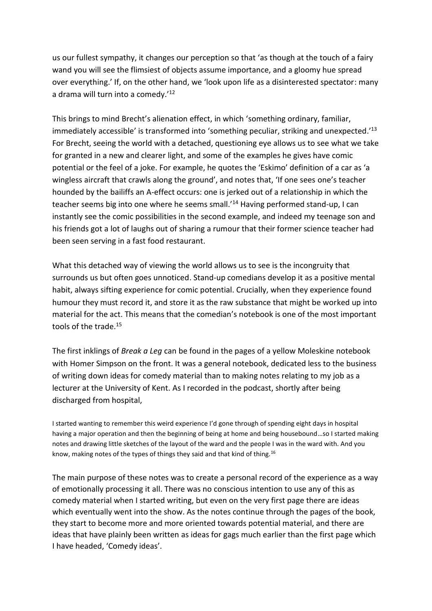us our fullest sympathy, it changes our perception so that 'as though at the touch of a fairy wand you will see the flimsiest of objects assume importance, and a gloomy hue spread over everything.' If, on the other hand, we 'look upon life as a disinterested spectator: many a drama will turn into a comedy.'<sup>12</sup>

This brings to mind Brecht's alienation effect, in which 'something ordinary, familiar, immediately accessible' is transformed into 'something peculiar, striking and unexpected.'<sup>13</sup> For Brecht, seeing the world with a detached, questioning eye allows us to see what we take for granted in a new and clearer light, and some of the examples he gives have comic potential or the feel of a joke. For example, he quotes the 'Eskimo' definition of a car as 'a wingless aircraft that crawls along the ground', and notes that, 'If one sees one's teacher hounded by the bailiffs an A-effect occurs: one is jerked out of a relationship in which the teacher seems big into one where he seems small.<sup>'14</sup> Having performed stand-up, I can instantly see the comic possibilities in the second example, and indeed my teenage son and his friends got a lot of laughs out of sharing a rumour that their former science teacher had been seen serving in a fast food restaurant.

What this detached way of viewing the world allows us to see is the incongruity that surrounds us but often goes unnoticed. Stand-up comedians develop it as a positive mental habit, always sifting experience for comic potential. Crucially, when they experience found humour they must record it, and store it as the raw substance that might be worked up into material for the act. This means that the comedian's notebook is one of the most important tools of the trade.<sup>15</sup>

The first inklings of *Break a Leg* can be found in the pages of a yellow Moleskine notebook with Homer Simpson on the front. It was a general notebook, dedicated less to the business of writing down ideas for comedy material than to making notes relating to my job as a lecturer at the University of Kent. As I recorded in the podcast, shortly after being discharged from hospital,

I started wanting to remember this weird experience I'd gone through of spending eight days in hospital having a major operation and then the beginning of being at home and being housebound...so I started making notes and drawing little sketches of the layout of the ward and the people I was in the ward with. And you know, making notes of the types of things they said and that kind of thing.<sup>16</sup>

The main purpose of these notes was to create a personal record of the experience as a way of emotionally processing it all. There was no conscious intention to use any of this as comedy material when I started writing, but even on the very first page there are ideas which eventually went into the show. As the notes continue through the pages of the book, they start to become more and more oriented towards potential material, and there are ideas that have plainly been written as ideas for gags much earlier than the first page which I have headed, 'Comedy ideas'.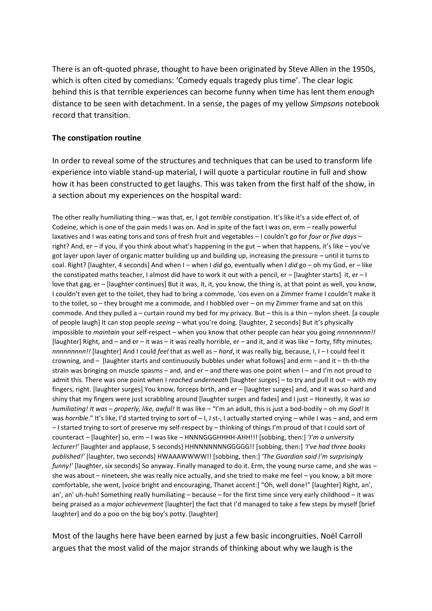There is an oft-quoted phrase, thought to have been originated by Steve Allen in the 1950s, which is often cited by comedians: 'Comedy equals tragedy plus time'. The clear logic behind this is that terrible experiences can become funny when time has lent them enough distance to be seen with detachment. In a sense, the pages of my yellow *Simpsons* notebook record that transition.

#### **The constipation routine**

In order to reveal some of the structures and techniques that can be used to transform life experience into viable stand-up material, I will quote a particular routine in full and show how it has been constructed to get laughs. This was taken from the first half of the show, in a section about my experiences on the hospital ward:

The other really humiliating thing - was that, er, I got *terrible* constipation. It's like it's a side effect of, of Codeine, which is one of the pain meds I was on. And in spite of the fact I was on, erm - really powerful laxatives and I was eating tons and tons of fresh fruit and vegetables - I couldn't go for four or five days right? And, er – if you, if you think about what's happening in the gut – when that happens, it's like – you've got layer upon layer of organic matter building up and building up, increasing the pressure – until it turns to coal. Right? [laughter, 4 seconds] And when I - when I did go, eventually when I did go - oh my God, er - like the constipated maths teacher, I almost did have to work it out with a pencil,  $er -$  [laughter starts] it,  $er - I$ love that gag, er - [laughter continues] But it was, it, it, you know, the thing is, at that point as well, you know, I couldn't even get to the toilet, they had to bring a commode, 'cos even on a Zimmer frame I couldn't make it to the toilet, so - they brought me a commode, and I hobbled over - on my Zimmer frame and sat on this commode. And they pulled a - curtain round my bed for my privacy. But - this is a thin - nylon sheet. [a couple of people laugh] It can stop people *seeing* – what you're doing. [laughter, 2 seconds] But it's physically impossible to *maintain* your self-respect – when you know that other people can hear you going *nnnnnnnnn!!* [laughter] Right, and  $-$  and  $er - it$  was  $-$  it was really horrible,  $er -$  and it, and it was like  $-$  forty, fifty minutes, *nnnnnnnnn!!* [laughter] And I could *feel* that as well as  $-$  *hard*, it was really big, because, I, I  $-$  I could feel it crowning, and - [laughter starts and continuously bubbles under what follows] and erm - and it - th-th-the strain was bringing on muscle spasms – and, and er – and there was one point when  $I -$  and I'm not proud to admit this. There was one point when I *reached underneath* [laughter surges] - to try and pull it out - with my fingers, right. [laughter surges] You know, forceps birth, and er - [laughter surges] and, and it was so hard and shiny that my fingers were just scrabbling around [laughter surges and fades] and I just – Honestly, it was *so humiliating! It was - properly, like, awful!* It was like - "I'm an adult, this is just a bod-bodily - oh my *God!* It was *horrible.*" It's like, I'd started trying to sort of - I, I st-, I actually started crying - while I was - and, and erm - I started trying to sort of preserve my self-respect by - thinking of things I'm proud of that I could sort of counteract – [laughter] so, erm – I was like – HNNNGGGHHHH-AHH!!! [sobbing, then:] *'I'm a university lecturer!'* [laughter and applause, 5 seconds] HHNNNNNNNGGGGG!! [sobbing, then:] 'I've had three books published!' [laughter, two seconds] HWAAAWWWW!! [sobbing, then:] *'The Guardian said I'm surprisingly funny!* [laughter, six seconds] So anyway. Finally managed to do it. Erm, the young nurse came, and she was – she was about – nineteen, she was really nice actually, and she tried to make me feel – you know, a bit more comfortable, she went, [voice bright and encouraging, Thanet accent:] "Oh, well done!" [laughter] Right, an', an', an' uh-huh! Something really humiliating – because – for the first time since very early childhood – it was being praised as a *major achievement* [laughter] the fact that I'd managed to take a few steps by myself [brief laughter] and do a poo on the big boy's potty. [laughter]

Most of the laughs here have been earned by just a few basic incongruities. Noël Carroll argues that the most valid of the major strands of thinking about why we laugh is the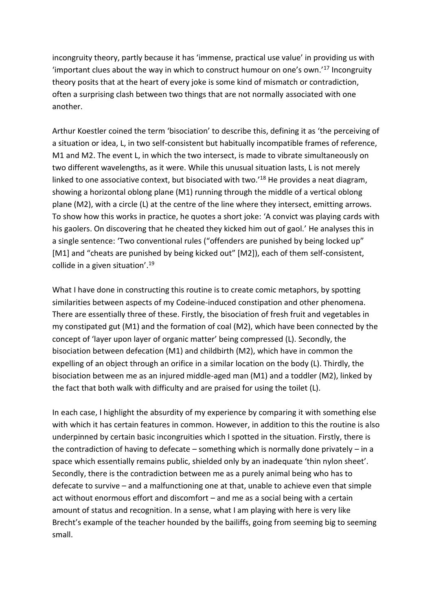incongruity theory, partly because it has 'immense, practical use value' in providing us with 'important clues about the way in which to construct humour on one's own.'<sup>17</sup> Incongruity theory posits that at the heart of every joke is some kind of mismatch or contradiction, often a surprising clash between two things that are not normally associated with one another.

Arthur Koestler coined the term 'bisociation' to describe this, defining it as 'the perceiving of a situation or idea, L, in two self-consistent but habitually incompatible frames of reference, M1 and M2. The event L, in which the two intersect, is made to vibrate simultaneously on two different wavelengths, as it were. While this unusual situation lasts, L is not merely linked to one associative context, but bisociated with two.<sup> $18$ </sup> He provides a neat diagram, showing a horizontal oblong plane (M1) running through the middle of a vertical oblong plane (M2), with a circle (L) at the centre of the line where they intersect, emitting arrows. To show how this works in practice, he quotes a short joke: 'A convict was playing cards with his gaolers. On discovering that he cheated they kicked him out of gaol.' He analyses this in a single sentence: 'Two conventional rules ("offenders are punished by being locked up" [M1] and "cheats are punished by being kicked out" [M2]), each of them self-consistent, collide in a given situation'.<sup>19</sup>

What I have done in constructing this routine is to create comic metaphors, by spotting similarities between aspects of my Codeine-induced constipation and other phenomena. There are essentially three of these. Firstly, the bisociation of fresh fruit and vegetables in my constipated gut (M1) and the formation of coal (M2), which have been connected by the concept of 'layer upon layer of organic matter' being compressed (L). Secondly, the bisociation between defecation (M1) and childbirth (M2), which have in common the expelling of an object through an orifice in a similar location on the body (L). Thirdly, the bisociation between me as an injured middle-aged man (M1) and a toddler (M2), linked by the fact that both walk with difficulty and are praised for using the toilet (L).

In each case, I highlight the absurdity of my experience by comparing it with something else with which it has certain features in common. However, in addition to this the routine is also underpinned by certain basic incongruities which I spotted in the situation. Firstly, there is the contradiction of having to defecate  $-$  something which is normally done privately  $-$  in a space which essentially remains public, shielded only by an inadequate 'thin nylon sheet'. Secondly, there is the contradiction between me as a purely animal being who has to defecate to survive  $-$  and a malfunctioning one at that, unable to achieve even that simple act without enormous effort and discomfort - and me as a social being with a certain amount of status and recognition. In a sense, what I am playing with here is very like Brecht's example of the teacher hounded by the bailiffs, going from seeming big to seeming small.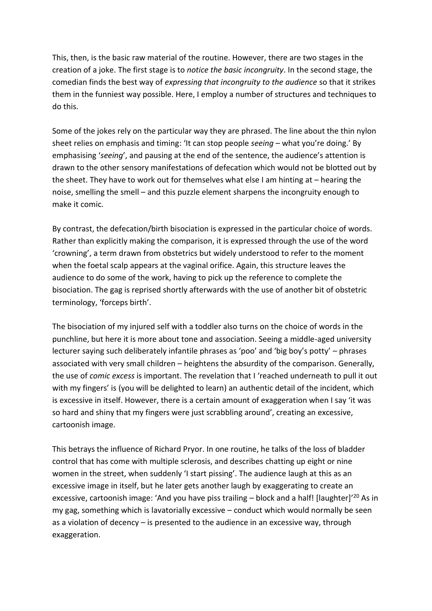This, then, is the basic raw material of the routine. However, there are two stages in the creation of a joke. The first stage is to *notice the basic incongruity*. In the second stage, the comedian finds the best way of *expressing that incongruity to the audience* so that it strikes them in the funniest way possible. Here, I employ a number of structures and techniques to do this.

Some of the jokes rely on the particular way they are phrased. The line about the thin nylon sheet relies on emphasis and timing: 'It can stop people *seeing* – what you're doing.' By emphasising 'seeing', and pausing at the end of the sentence, the audience's attention is drawn to the other sensory manifestations of defecation which would not be blotted out by the sheet. They have to work out for themselves what else I am hinting at  $-$  hearing the noise, smelling the smell – and this puzzle element sharpens the incongruity enough to make it comic.

By contrast, the defecation/birth bisociation is expressed in the particular choice of words. Rather than explicitly making the comparison, it is expressed through the use of the word 'crowning', a term drawn from obstetrics but widely understood to refer to the moment when the foetal scalp appears at the vaginal orifice. Again, this structure leaves the audience to do some of the work, having to pick up the reference to complete the bisociation. The gag is reprised shortly afterwards with the use of another bit of obstetric terminology, 'forceps birth'.

The bisociation of my injured self with a toddler also turns on the choice of words in the punchline, but here it is more about tone and association. Seeing a middle-aged university lecturer saying such deliberately infantile phrases as 'poo' and 'big boy's potty' – phrases associated with very small children – heightens the absurdity of the comparison. Generally, the use of *comic excess* is important. The revelation that I 'reached underneath to pull it out with my fingers' is (you will be delighted to learn) an authentic detail of the incident, which is excessive in itself. However, there is a certain amount of exaggeration when I say 'it was so hard and shiny that my fingers were just scrabbling around', creating an excessive, cartoonish image.

This betrays the influence of Richard Pryor. In one routine, he talks of the loss of bladder control that has come with multiple sclerosis, and describes chatting up eight or nine women in the street, when suddenly 'I start pissing'. The audience laugh at this as an excessive image in itself, but he later gets another laugh by exaggerating to create an excessive, cartoonish image: 'And you have piss trailing – block and a half! [laughter]'<sup>20</sup> As in my gag, something which is lavatorially excessive – conduct which would normally be seen as a violation of decency  $-$  is presented to the audience in an excessive way, through exaggeration.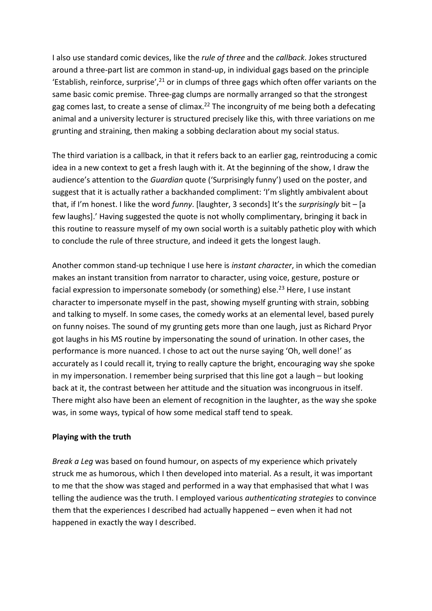I also use standard comic devices, like the *rule of three* and the *callback*. Jokes structured around a three-part list are common in stand-up, in individual gags based on the principle 'Establish, reinforce, surprise', $^{21}$  or in clumps of three gags which often offer variants on the same basic comic premise. Three-gag clumps are normally arranged so that the strongest gag comes last, to create a sense of climax.<sup>22</sup> The incongruity of me being both a defecating animal and a university lecturer is structured precisely like this, with three variations on me grunting and straining, then making a sobbing declaration about my social status.

The third variation is a callback, in that it refers back to an earlier gag, reintroducing a comic idea in a new context to get a fresh laugh with it. At the beginning of the show, I draw the audience's attention to the *Guardian* quote ('Surprisingly funny') used on the poster, and suggest that it is actually rather a backhanded compliment: 'I'm slightly ambivalent about that, if I'm honest. I like the word *funny*. [laughter, 3 seconds] It's the *surprisingly* bit - [a few laughs].' Having suggested the quote is not wholly complimentary, bringing it back in this routine to reassure myself of my own social worth is a suitably pathetic ploy with which to conclude the rule of three structure, and indeed it gets the longest laugh.

Another common stand-up technique I use here is *instant character*, in which the comedian makes an instant transition from narrator to character, using voice, gesture, posture or facial expression to impersonate somebody (or something) else.<sup>23</sup> Here, I use instant character to impersonate myself in the past, showing myself grunting with strain, sobbing and talking to myself. In some cases, the comedy works at an elemental level, based purely on funny noises. The sound of my grunting gets more than one laugh, just as Richard Pryor got laughs in his MS routine by impersonating the sound of urination. In other cases, the performance is more nuanced. I chose to act out the nurse saying 'Oh, well done!' as accurately as I could recall it, trying to really capture the bright, encouraging way she spoke in my impersonation. I remember being surprised that this line got a laugh  $-$  but looking back at it, the contrast between her attitude and the situation was incongruous in itself. There might also have been an element of recognition in the laughter, as the way she spoke was, in some ways, typical of how some medical staff tend to speak.

#### **Playing with the truth**

*Break a Leg* was based on found humour, on aspects of my experience which privately struck me as humorous, which I then developed into material. As a result, it was important to me that the show was staged and performed in a way that emphasised that what I was telling the audience was the truth. I employed various *authenticating strategies* to convince them that the experiences I described had actually happened  $-$  even when it had not happened in exactly the way I described.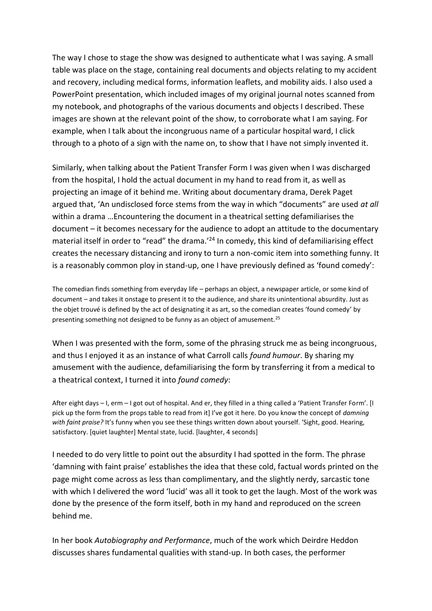The way I chose to stage the show was designed to authenticate what I was saying. A small table was place on the stage, containing real documents and objects relating to my accident and recovery, including medical forms, information leaflets, and mobility aids. I also used a PowerPoint presentation, which included images of my original journal notes scanned from my notebook, and photographs of the various documents and objects I described. These images are shown at the relevant point of the show, to corroborate what I am saying. For example, when I talk about the incongruous name of a particular hospital ward, I click through to a photo of a sign with the name on, to show that I have not simply invented it.

Similarly, when talking about the Patient Transfer Form I was given when I was discharged from the hospital, I hold the actual document in my hand to read from it, as well as projecting an image of it behind me. Writing about documentary drama, Derek Paget argued that, 'An undisclosed force stems from the way in which "documents" are used at all within a drama ...Encountering the document in a theatrical setting defamiliarises the document – it becomes necessary for the audience to adopt an attitude to the documentary material itself in order to "read" the drama.<sup>24</sup> In comedy, this kind of defamiliarising effect creates the necessary distancing and irony to turn a non-comic item into something funny. It is a reasonably common ploy in stand-up, one I have previously defined as 'found comedy':

The comedian finds something from everyday life – perhaps an object, a newspaper article, or some kind of document – and takes it onstage to present it to the audience, and share its unintentional absurdity. Just as the objet trouvé is defined by the act of designating it as art, so the comedian creates 'found comedy' by presenting something not designed to be funny as an object of amusement.<sup>25</sup>

When I was presented with the form, some of the phrasing struck me as being incongruous, and thus I enjoyed it as an instance of what Carroll calls *found humour*. By sharing my amusement with the audience, defamiliarising the form by transferring it from a medical to a theatrical context, I turned it into *found comedy*:

After eight days - I, erm - I got out of hospital. And er, they filled in a thing called a 'Patient Transfer Form'. II pick up the form from the props table to read from it] I've got it here. Do you know the concept of *damning with faint praise?* It's funny when you see these things written down about yourself. 'Sight, good. Hearing, satisfactory. [quiet laughter] Mental state, lucid. [laughter, 4 seconds]

I needed to do very little to point out the absurdity I had spotted in the form. The phrase 'damning with faint praise' establishes the idea that these cold, factual words printed on the page might come across as less than complimentary, and the slightly nerdy, sarcastic tone with which I delivered the word 'lucid' was all it took to get the laugh. Most of the work was done by the presence of the form itself, both in my hand and reproduced on the screen behind me.

In her book *Autobiography and Performance*, much of the work which Deirdre Heddon discusses shares fundamental qualities with stand-up. In both cases, the performer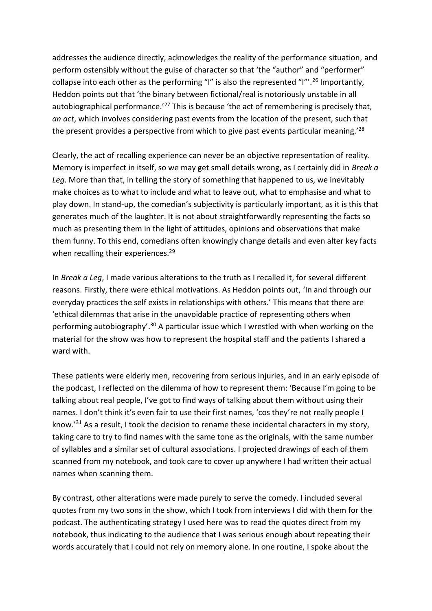addresses the audience directly, acknowledges the reality of the performance situation, and perform ostensibly without the guise of character so that 'the "author" and "performer" collapse into each other as the performing "I" is also the represented "I"'.<sup>26</sup> Importantly, Heddon points out that 'the binary between fictional/real is notoriously unstable in all autobiographical performance.<sup>27</sup> This is because 'the act of remembering is precisely that, *an act*, which involves considering past events from the location of the present, such that the present provides a perspective from which to give past events particular meaning.<sup>'28</sup>

Clearly, the act of recalling experience can never be an objective representation of reality. Memory is imperfect in itself, so we may get small details wrong, as I certainly did in *Break a Leg*. More than that, in telling the story of something that happened to us, we inevitably make choices as to what to include and what to leave out, what to emphasise and what to play down. In stand-up, the comedian's subjectivity is particularly important, as it is this that generates much of the laughter. It is not about straightforwardly representing the facts so much as presenting them in the light of attitudes, opinions and observations that make them funny. To this end, comedians often knowingly change details and even alter key facts when recalling their experiences.<sup>29</sup>

In *Break a Leg*, I made various alterations to the truth as I recalled it, for several different reasons. Firstly, there were ethical motivations. As Heddon points out, 'In and through our everyday practices the self exists in relationships with others.' This means that there are けethical dilemmas that arise in the unavoidable practice of representing others when performing autobiography'.<sup>30</sup> A particular issue which I wrestled with when working on the material for the show was how to represent the hospital staff and the patients I shared a ward with.

These patients were elderly men, recovering from serious injuries, and in an early episode of the podcast, I reflected on the dilemma of how to represent them: 'Because I'm going to be talking about real people, I've got to find ways of talking about them without using their names. I don't think it's even fair to use their first names, 'cos they're not really people I know.<sup> $31$ </sup> As a result, I took the decision to rename these incidental characters in my story, taking care to try to find names with the same tone as the originals, with the same number of syllables and a similar set of cultural associations. I projected drawings of each of them scanned from my notebook, and took care to cover up anywhere I had written their actual names when scanning them.

By contrast, other alterations were made purely to serve the comedy. I included several quotes from my two sons in the show, which I took from interviews I did with them for the podcast. The authenticating strategy I used here was to read the quotes direct from my notebook, thus indicating to the audience that I was serious enough about repeating their words accurately that I could not rely on memory alone. In one routine, I spoke about the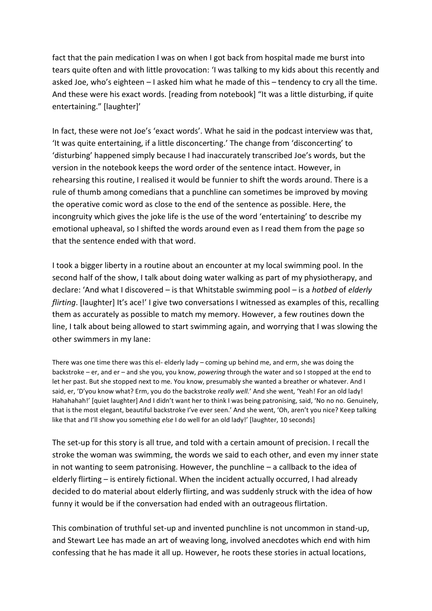fact that the pain medication I was on when I got back from hospital made me burst into tears quite often and with little provocation: 'I was talking to my kids about this recently and asked Joe, who's eighteen  $-1$  asked him what he made of this  $-$  tendency to cry all the time. And these were his exact words. [reading from notebook] "It was a little disturbing, if quite entertaining." [laughter]'

In fact, these were not Joe's 'exact words'. What he said in the podcast interview was that, 'It was quite entertaining, if a little disconcerting.' The change from 'disconcerting' to 'disturbing' happened simply because I had inaccurately transcribed Joe's words, but the version in the notebook keeps the word order of the sentence intact. However, in rehearsing this routine, I realised it would be funnier to shift the words around. There is a rule of thumb among comedians that a punchline can sometimes be improved by moving the operative comic word as close to the end of the sentence as possible. Here, the incongruity which gives the joke life is the use of the word 'entertaining' to describe my emotional upheaval, so I shifted the words around even as I read them from the page so that the sentence ended with that word.

I took a bigger liberty in a routine about an encounter at my local swimming pool. In the second half of the show, I talk about doing water walking as part of my physiotherapy, and declare: 'And what I discovered – is that Whitstable swimming pool – is a *hotbed* of *elderly flirting*. [laughter] It's ace!' I give two conversations I witnessed as examples of this, recalling them as accurately as possible to match my memory. However, a few routines down the line, I talk about being allowed to start swimming again, and worrying that I was slowing the other swimmers in my lane:

There was one time there was this el- elderly lady  $-$  coming up behind me, and erm, she was doing the backstroke – er, and er – and she you, you know, *powering* through the water and so I stopped at the end to let her past. But she stopped next to me. You know, presumably she wanted a breather or whatever. And I said, er, 'D'you know what? Erm, you do the backstroke really well.' And she went, 'Yeah! For an old lady! Hahahahah!' [quiet laughter] And I didn't want her to think I was being patronising, said, 'No no no. Genuinely, that is the most elegant, beautiful backstroke I've ever seen.' And she went, 'Oh, aren't you nice? Keep talking like that and I'll show you something *else* I do well for an old lady!' [laughter, 10 seconds]

The set-up for this story is all true, and told with a certain amount of precision. I recall the stroke the woman was swimming, the words we said to each other, and even my inner state in not wanting to seem patronising. However, the punchline  $-$  a callback to the idea of elderly flirting – is entirely fictional. When the incident actually occurred, I had already decided to do material about elderly flirting, and was suddenly struck with the idea of how funny it would be if the conversation had ended with an outrageous flirtation.

This combination of truthful set-up and invented punchline is not uncommon in stand-up, and Stewart Lee has made an art of weaving long, involved anecdotes which end with him confessing that he has made it all up. However, he roots these stories in actual locations,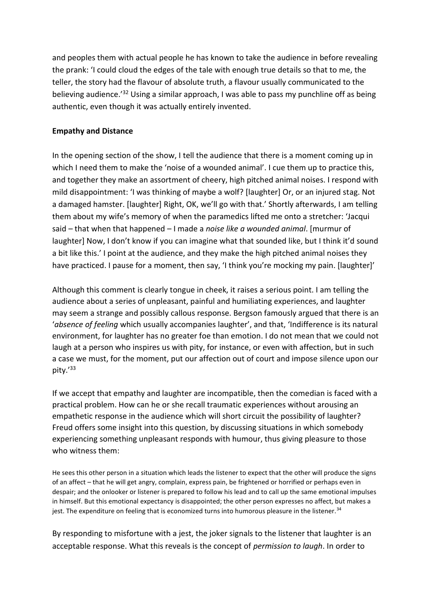and peoples them with actual people he has known to take the audience in before revealing the prank: 'I could cloud the edges of the tale with enough true details so that to me, the teller, the story had the flavour of absolute truth, a flavour usually communicated to the believing audience.<sup>'32</sup> Using a similar approach, I was able to pass my punchline off as being authentic, even though it was actually entirely invented.

#### **Empathy and Distance**

In the opening section of the show, I tell the audience that there is a moment coming up in which I need them to make the 'noise of a wounded animal'. I cue them up to practice this, and together they make an assortment of cheery, high pitched animal noises. I respond with mild disappointment: 'I was thinking of maybe a wolf? [laughter] Or, or an injured stag. Not a damaged hamster. [laughter] Right, OK, we'll go with that.' Shortly afterwards, I am telling them about my wife's memory of when the paramedics lifted me onto a stretcher: 'Jacqui said – that when that happened – I made a *noise like a wounded animal*. [murmur of laughter] Now, I don't know if you can imagine what that sounded like, but I think it'd sound a bit like this.' I point at the audience, and they make the high pitched animal noises they have practiced. I pause for a moment, then say, 'I think you're mocking my pain. [laughter]'

Although this comment is clearly tongue in cheek, it raises a serious point. I am telling the audience about a series of unpleasant, painful and humiliating experiences, and laughter may seem a strange and possibly callous response. Bergson famously argued that there is an 'absence of feeling which usually accompanies laughter', and that, 'Indifference is its natural environment, for laughter has no greater foe than emotion. I do not mean that we could not laugh at a person who inspires us with pity, for instance, or even with affection, but in such a case we must, for the moment, put our affection out of court and impose silence upon our pity.'<sup>33</sup>

If we accept that empathy and laughter are incompatible, then the comedian is faced with a practical problem. How can he or she recall traumatic experiences without arousing an empathetic response in the audience which will short circuit the possibility of laughter? Freud offers some insight into this question, by discussing situations in which somebody experiencing something unpleasant responds with humour, thus giving pleasure to those who witness them:

He sees this other person in a situation which leads the listener to expect that the other will produce the signs of an affect – that he will get angry, complain, express pain, be frightened or horrified or perhaps even in despair; and the onlooker or listener is prepared to follow his lead and to call up the same emotional impulses in himself. But this emotional expectancy is disappointed; the other person expresses no affect, but makes a jest. The expenditure on feeling that is economized turns into humorous pleasure in the listener.<sup>34</sup>

By responding to misfortune with a jest, the joker signals to the listener that laughter is an acceptable response. What this reveals is the concept of *permission to laugh*. In order to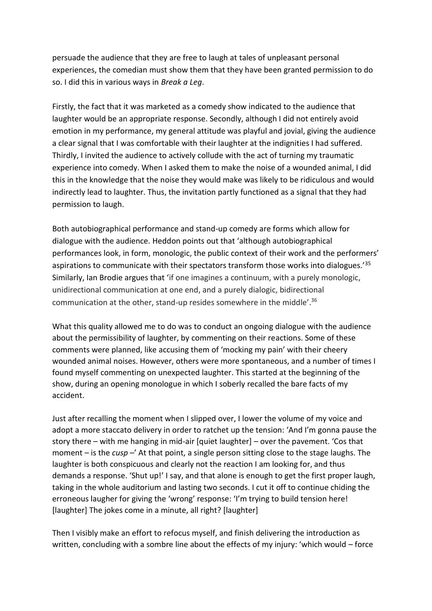persuade the audience that they are free to laugh at tales of unpleasant personal experiences, the comedian must show them that they have been granted permission to do so. I did this in various ways in *Break a Leg*.

Firstly, the fact that it was marketed as a comedy show indicated to the audience that laughter would be an appropriate response. Secondly, although I did not entirely avoid emotion in my performance, my general attitude was playful and jovial, giving the audience a clear signal that I was comfortable with their laughter at the indignities I had suffered. Thirdly, I invited the audience to actively collude with the act of turning my traumatic experience into comedy. When I asked them to make the noise of a wounded animal, I did this in the knowledge that the noise they would make was likely to be ridiculous and would indirectly lead to laughter. Thus, the invitation partly functioned as a signal that they had permission to laugh.

Both autobiographical performance and stand-up comedy are forms which allow for dialogue with the audience. Heddon points out that 'although autobiographical performances look, in form, monologic, the public context of their work and the performers' aspirations to communicate with their spectators transform those works into dialogues.<sup>135</sup> Similarly, Ian Brodie argues that 'if one imagines a continuum, with a purely monologic, unidirectional communication at one end, and a purely dialogic, bidirectional communication at the other, stand-up resides somewhere in the middle'.<sup>36</sup>

What this quality allowed me to do was to conduct an ongoing dialogue with the audience about the permissibility of laughter, by commenting on their reactions. Some of these comments were planned, like accusing them of 'mocking my pain' with their cheery wounded animal noises. However, others were more spontaneous, and a number of times I found myself commenting on unexpected laughter. This started at the beginning of the show, during an opening monologue in which I soberly recalled the bare facts of my accident.

Just after recalling the moment when I slipped over, I lower the volume of my voice and adopt a more staccato delivery in order to ratchet up the tension: 'And I'm gonna pause the story there  $-$  with me hanging in mid-air [quiet laughter]  $-$  over the pavement, 'Cos that moment – is the *cusp* –' At that point, a single person sitting close to the stage laughs. The laughter is both conspicuous and clearly not the reaction I am looking for, and thus demands a response. 'Shut up!' I say, and that alone is enough to get the first proper laugh, taking in the whole auditorium and lasting two seconds. I cut it off to continue chiding the erroneous laugher for giving the 'wrong' response: 'I'm trying to build tension here! [laughter] The jokes come in a minute, all right? [laughter]

Then I visibly make an effort to refocus myself, and finish delivering the introduction as written, concluding with a sombre line about the effects of my injury: 'which would - force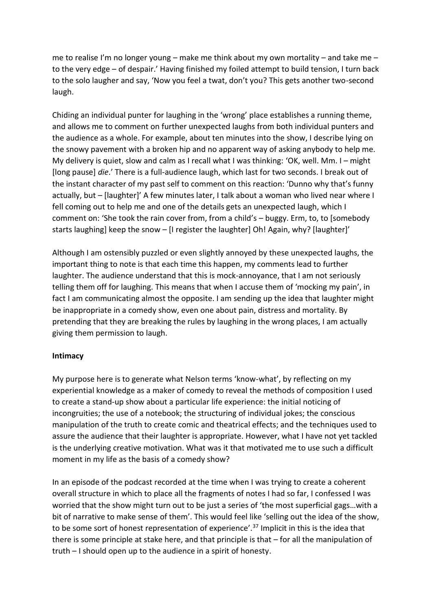me to realise I'm no longer young – make me think about my own mortality – and take me – to the very edge – of despair.' Having finished my foiled attempt to build tension, I turn back to the solo laugher and say, 'Now you feel a twat, don't you? This gets another two-second laugh.

Chiding an individual punter for laughing in the 'wrong' place establishes a running theme, and allows me to comment on further unexpected laughs from both individual punters and the audience as a whole. For example, about ten minutes into the show, I describe lying on the snowy pavement with a broken hip and no apparent way of asking anybody to help me. My delivery is quiet, slow and calm as I recall what I was thinking: 'OK, well. Mm. I – might [long pause] *die*.' There is a full-audience laugh, which last for two seconds. I break out of the instant character of my past self to comment on this reaction: 'Dunno why that's funny actually, but – [laughter]' A few minutes later, I talk about a woman who lived near where I fell coming out to help me and one of the details gets an unexpected laugh, which I comment on: 'She took the rain cover from, from a child's - buggy. Erm, to, to [somebody starts laughing] keep the snow – [I register the laughter] Oh! Again, why? [laughter]'

Although I am ostensibly puzzled or even slightly annoyed by these unexpected laughs, the important thing to note is that each time this happen, my comments lead to further laughter. The audience understand that this is mock-annoyance, that I am not seriously telling them off for laughing. This means that when I accuse them of 'mocking my pain', in fact I am communicating almost the opposite. I am sending up the idea that laughter might be inappropriate in a comedy show, even one about pain, distress and mortality. By pretending that they are breaking the rules by laughing in the wrong places, I am actually giving them permission to laugh.

#### **Intimacy**

My purpose here is to generate what Nelson terms 'know-what', by reflecting on my experiential knowledge as a maker of comedy to reveal the methods of composition I used to create a stand-up show about a particular life experience: the initial noticing of incongruities; the use of a notebook; the structuring of individual jokes; the conscious manipulation of the truth to create comic and theatrical effects; and the techniques used to assure the audience that their laughter is appropriate. However, what I have not yet tackled is the underlying creative motivation. What was it that motivated me to use such a difficult moment in my life as the basis of a comedy show?

In an episode of the podcast recorded at the time when I was trying to create a coherent overall structure in which to place all the fragments of notes I had so far, I confessed I was worried that the show might turn out to be just a series of 'the most superficial gags...with a bit of narrative to make sense of them'. This would feel like 'selling out the idea of the show, to be some sort of honest representation of experience'.<sup>37</sup> Implicit in this is the idea that there is some principle at stake here, and that principle is that  $-$  for all the manipulation of truth - I should open up to the audience in a spirit of honesty.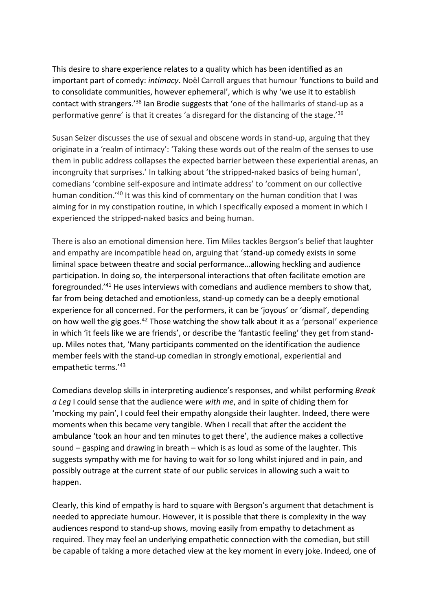This desire to share experience relates to a quality which has been identified as an important part of comedy: *intimacy*. Noël Carroll argues that humour 'functions to build and to consolidate communities, however ephemeral', which is why 'we use it to establish contact with strangers.<sup>'38</sup> Ian Brodie suggests that 'one of the hallmarks of stand-up as a performative genre' is that it creates 'a disregard for the distancing of the stage.'<sup>39</sup>

Susan Seizer discusses the use of sexual and obscene words in stand-up, arguing that they originate in a 'realm of intimacy': 'Taking these words out of the realm of the senses to use them in public address collapses the expected barrier between these experiential arenas, an incongruity that surprises.' In talking about 'the stripped-naked basics of being human', comedians 'combine self-exposure and intimate address' to 'comment on our collective human condition.<sup>140</sup> It was this kind of commentary on the human condition that I was aiming for in my constipation routine, in which I specifically exposed a moment in which I experienced the stripped-naked basics and being human.

There is also an emotional dimension here. Tim Miles tackles Bergson's belief that laughter and empathy are incompatible head on, arguing that 'stand-up comedy exists in some liminal space between theatre and social performance...allowing heckling and audience participation. In doing so, the interpersonal interactions that often facilitate emotion are foregrounded.<sup>741</sup> He uses interviews with comedians and audience members to show that, far from being detached and emotionless, stand-up comedy can be a deeply emotional experience for all concerned. For the performers, it can be 'joyous' or 'dismal', depending on how well the gig goes.<sup>42</sup> Those watching the show talk about it as a 'personal' experience in which 'it feels like we are friends', or describe the 'fantastic feeling' they get from standup. Miles notes that, 'Many participants commented on the identification the audience member feels with the stand-up comedian in strongly emotional, experiential and empathetic terms.'43

Comedians develop skills in interpreting audience's responses, and whilst performing *Break a Leg* I could sense that the audience were *with me*, and in spite of chiding them for 'mocking my pain', I could feel their empathy alongside their laughter. Indeed, there were moments when this became very tangible. When I recall that after the accident the ambulance 'took an hour and ten minutes to get there', the audience makes a collective sound – gasping and drawing in breath – which is as loud as some of the laughter. This suggests sympathy with me for having to wait for so long whilst injured and in pain, and possibly outrage at the current state of our public services in allowing such a wait to happen.

Clearly, this kind of empathy is hard to square with Bergson's argument that detachment is needed to appreciate humour. However, it is possible that there is complexity in the way audiences respond to stand-up shows, moving easily from empathy to detachment as required. They may feel an underlying empathetic connection with the comedian, but still be capable of taking a more detached view at the key moment in every joke. Indeed, one of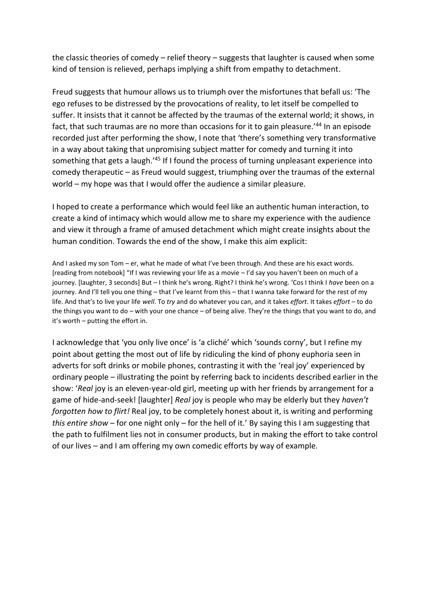the classic theories of comedy  $-$  relief theory  $-$  suggests that laughter is caused when some kind of tension is relieved, perhaps implying a shift from empathy to detachment.

Freud suggests that humour allows us to triumph over the misfortunes that befall us: 'The ego refuses to be distressed by the provocations of reality, to let itself be compelled to suffer. It insists that it cannot be affected by the traumas of the external world; it shows, in fact, that such traumas are no more than occasions for it to gain pleasure.<sup>'44</sup> In an episode recorded just after performing the show, I note that 'there's something very transformative in a way about taking that unpromising subject matter for comedy and turning it into something that gets a laugh.<sup>145</sup> If I found the process of turning unpleasant experience into comedy therapeutic  $-$  as Freud would suggest, triumphing over the traumas of the external world  $-$  my hope was that I would offer the audience a similar pleasure.

I hoped to create a performance which would feel like an authentic human interaction, to create a kind of intimacy which would allow me to share my experience with the audience and view it through a frame of amused detachment which might create insights about the human condition. Towards the end of the show, I make this aim explicit:

And I asked my son Tom – er, what he made of what I've been through. And these are his exact words. [reading from notebook] "If I was reviewing your life as a movie - I'd say you haven't been on much of a journey. [laughter, 3 seconds] But - I think he's wrong. Right? I think he's wrong. 'Cos I think I *have* been on a journey. And I'll tell you one thing - that I've learnt from this - that I wanna take forward for the rest of my life. And that's to live your life well. To try and do whatever you can, and it takes *effort*. It takes *effort* – to do the things you want to do – with your one chance – of being alive. They're the things that you want to do, and  $it's$  worth  $-$  putting the effort in.

I acknowledge that 'you only live once' is 'a cliché' which 'sounds corny', but I refine my point about getting the most out of life by ridiculing the kind of phony euphoria seen in adverts for soft drinks or mobile phones, contrasting it with the 'real joy' experienced by ordinary people – illustrating the point by referring back to incidents described earlier in the show: け*Real* joy is an eleven-year-old girl, meeting up with her friends by arrangement for a game of hide-and-seek! [laughter] *Real* joy is people who may be elderly but they *haven't forgotten how to flirt!* Real joy, to be completely honest about it, is writing and performing *this entire show* – for one night only – for the hell of it.' By saying this I am suggesting that the path to fulfilment lies not in consumer products, but in making the effort to take control of our lives – and I am offering my own comedic efforts by way of example.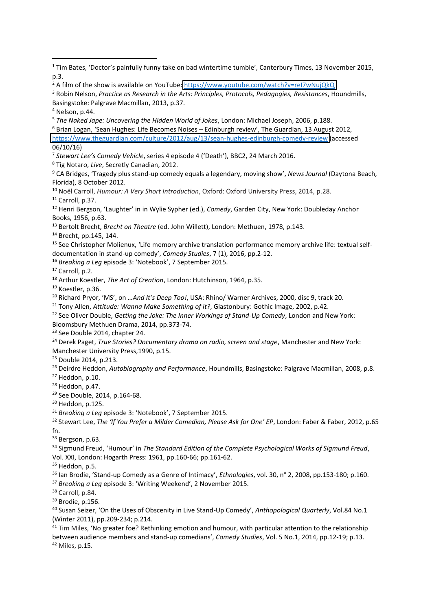3 Robin Nelson, *Practice as Research in the Arts: Principles, Protocols, Pedagogies, Resistances*, Houndmills, Basingstoke: Palgrave Macmillan, 2013, p.37.

4 Nelson, p.44.

1

<sup>5</sup> *The Naked Jape: Uncovering the Hidden World of Jokes*, London: Michael Joseph, 2006, p.188.

 $6$  Brian Logan, 'Sean Hughes: Life Becomes Noises - Edinburgh review', The Guardian, 13 August 2012, <https://www.theguardian.com/culture/2012/aug/13/sean-hughes-edinburgh-comedy-review>(accessed 06/10/16)

<sup>7</sup> Stewart Lee's Comedy Vehicle, series 4 episode 4 ('Death'), BBC2, 24 March 2016.

8 Tig Notaro, *Live*, Secretly Canadian, 2012.

<sup>9</sup> CA Bridges, 'Tragedy plus stand-up comedy equals a legendary, moving show', *News Journal* (Daytona Beach, Florida), 8 October 2012.

<sup>10</sup> Noël Carroll, *Humour: A Very Short Introduction*, Oxford: Oxford University Press, 2014, p.28. <sup>11</sup> Carroll, p.37.

<sup>12</sup> Henri Bergson, 'Laughter' in in Wylie Sypher (ed.), *Comedy*, Garden City, New York: Doubleday Anchor Books, 1956, p.63.

<sup>13</sup> Bertolt Brecht, *Brecht on Theatre* (ed. John Willett), London: Methuen, 1978, p.143.

<sup>14</sup> Brecht, pp.145, 144.

15 See Christopher Molienux, 'Life memory archive translation performance memory archive life: textual selfdocumentation in stand-up comedy', Comedy Studies, 7 (1), 2016, pp.2-12.

<sup>16</sup> Breaking a Lea episode 3: 'Notebook', 7 September 2015.

 $17$  Carroll, p.2.

<sup>18</sup> Arthur Koestler, *The Act of Creation*, London: Hutchinson, 1964, p.35.

 $19$  Koestler, p.36.

<sup>20</sup> Richard Pryor, 'MS', on ...And It's Deep Too!, USA: Rhino/ Warner Archives, 2000, disc 9, track 20.

<sup>21</sup> Tony Allen, *Attitude: Wanna Make Something of it?*, Glastonbury: Gothic Image, 2002, p.42.

<sup>22</sup> See Oliver Double, *Getting the Joke: The Inner Workings of Stand-Up Comedy*, London and New York: Bloomsbury Methuen Drama, 2014, pp.373-74.

<sup>23</sup> See Double 2014, chapter 24.

<sup>24</sup> Derek Paget, *True Stories? Documentary drama on radio, screen and stage*, Manchester and New York: Manchester University Press,1990, p.15.

<sup>25</sup> Double 2014, p.213.

<sup>26</sup> Deirdre Heddon, *Autobiography and Performance*, Houndmills, Basingstoke: Palgrave Macmillan, 2008, p.8.

 $27$  Heddon, p.10.

<sup>28</sup> Heddon, p.47.

<sup>29</sup> See Double, 2014, p.164-68.

<sup>30</sup> Heddon, p.125.

<sup>31</sup> Breaking a Leg episode 3: 'Notebook', 7 September 2015.

32 Stewart Lee, *The 'If You Prefer a Milder Comedian, Please Ask for One' EP*, London: Faber & Faber, 2012, p.65 fn.

 $33$  Bergson, p.63.

<sup>34</sup> Sigmund Freud, 'Humour' in The Standard Edition of the Complete Psychological Works of Sigmund Freud, Vol. XXI, London: Hogarth Press: 1961, pp.160-66; pp.161-62.

<sup>35</sup> Heddon, p.5.

<sup>36</sup> Ian Brodie, 'Stand-up Comedy as a Genre of Intimacy', *Ethnologies*, vol. 30, n° 2, 2008, pp.153-180; p.160. <sup>37</sup> Breaking a Leg episode 3: 'Writing Weekend', 2 November 2015.

<sup>38</sup> Carroll, p.84.

<sup>39</sup> Brodie, p.156.

<sup>40</sup> Susan Seizer, 'On the Uses of Obscenity in Live Stand-Up Comedy', Anthopological Quarterly, Vol.84 No.1 (Winter 2011), pp.209-234; p.214.

<sup>41</sup> Tim Miles, 'No greater foe? Rethinking emotion and humour, with particular attention to the relationship between audience members and stand-up comedians'. *Comedy Studies*, Vol. 5 No.1, 2014, pp.12-19; p.13. <sup>42</sup> Miles, p.15.

<sup>&</sup>lt;sup>1</sup> Tim Bates, 'Doctor's painfully funny take on bad wintertime tumble', Canterbury Times, 13 November 2015, p.3.

<sup>&</sup>lt;sup>2</sup> A film of the show is available on YouTube: https://www.youtube.com/watch?v=reI7wNujQkQ